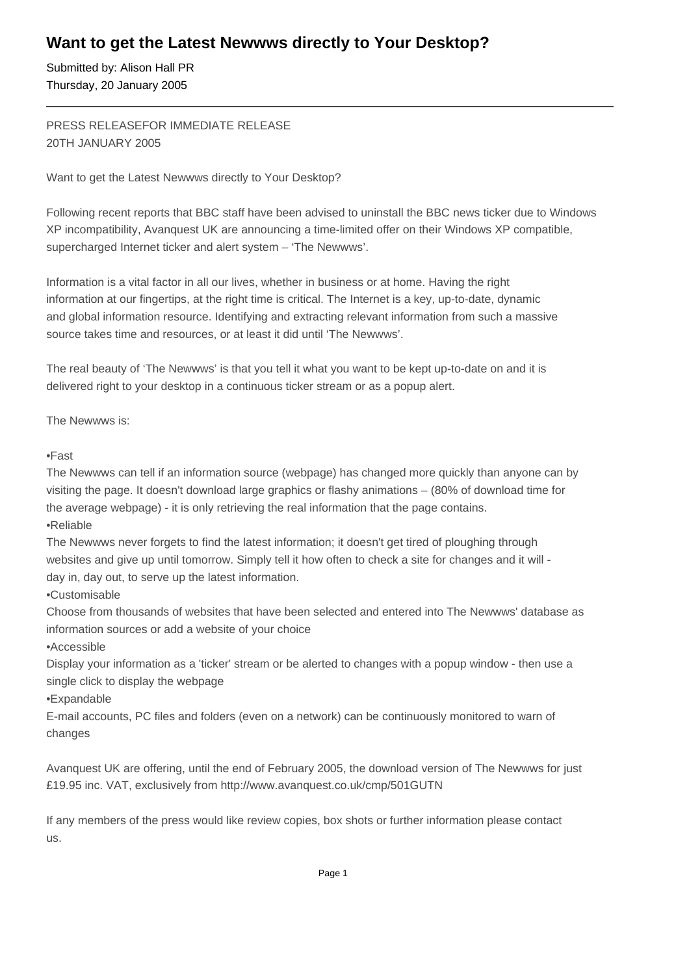# **Want to get the Latest Newwws directly to Your Desktop?**

Submitted by: Alison Hall PR Thursday, 20 January 2005

# PRESS RELEASE FOR IMMEDIATE RELEASE 20TH JANUARY 2005

Want to get the Latest Newwws directly to Your Desktop?

Following recent reports that BBC staff have been advised to uninstall the BBC news ticker due to Windows XP incompatibility, Avanquest UK are announcing a time-limited offer on their Windows XP compatible, supercharged Internet ticker and alert system – 'The Newwws'.

Information is a vital factor in all our lives, whether in business or at home. Having the right information at our fingertips, at the right time is critical. The Internet is a key, up-to-date, dynamic and global information resource. Identifying and extracting relevant information from such a massive source takes time and resources, or at least it did until 'The Newwws'.

The real beauty of 'The Newwws' is that you tell it what you want to be kept up-to-date on and it is delivered right to your desktop in a continuous ticker stream or as a popup alert.

The Newwws is:

## • Fast

The Newwws can tell if an information source (webpage) has changed more quickly than anyone can by visiting the page. It doesn't download large graphics or flashy animations – (80% of download time for the average webpage) - it is only retrieving the real information that the page contains.

• Reliable

The Newwws never forgets to find the latest information; it doesn't get tired of ploughing through websites and give up until tomorrow. Simply tell it how often to check a site for changes and it will day in, day out, to serve up the latest information.

• Customisable

Choose from thousands of websites that have been selected and entered into The Newwws' database as information sources or add a website of your choice

• Accessible

Display your information as a 'ticker' stream or be alerted to changes with a popup window - then use a single click to display the webpage

• Expandable

E-mail accounts, PC files and folders (even on a network) can be continuously monitored to warn of changes

Avanquest UK are offering, until the end of February 2005, the download version of The Newwws for just £19.95 inc. VAT, exclusively from http://www.avanquest.co.uk/cmp/501GUTN

If any members of the press would like review copies, box shots or further information please contact us.